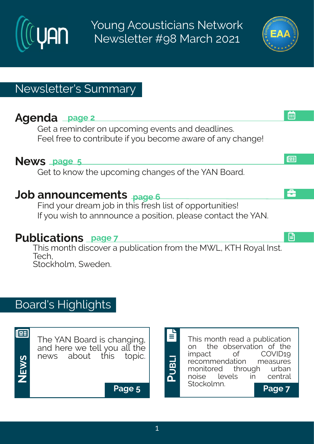

Young Acousticians Network Newsletter #98 March 2021



æ

£

画

日

## Newsletter's Summary

## **Agenda page 2**

Get a reminder on upcoming events and deadlines. Feel free to contribute if you become aware of any change!

### **News page 5**

Get to know the upcoming changes of the YAN Board.

## **Job announcements page 6**

Find your dream job in this fresh list of opportunities! If you wish to annnounce a position, please contact the YAN.

## **Publications page 7**

This month discover a publication from the MWL, KTH Royal Inst. Tech, Stockholm, Sweden.

# Board's Highlights



The YAN Board is changing, and here we tell you all the news about this topic.

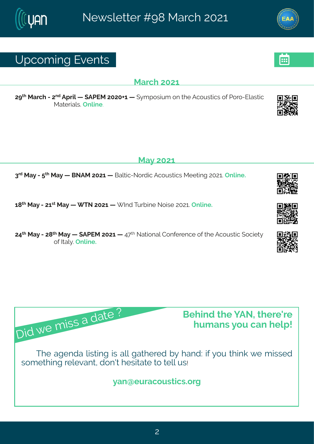## Yt gsq mk#zi r xw

#### Reval #576

7> Revgl #247<sup>rh</sup>#Ft vmp# #FUJR#757506# # }q t swmpq #sr#l i #Fgsywmogw#sj#Usvs2Jpew-mog# Rexi vrepv@ r pni 3

#### Re}#576

8<sup>th</sup> free that x<sup>1</sup> free that ffess FR ff 576 ft free poron 2S svhron ff qsyworon when i i xnn k ff 576 ft m i 3

6=  $*$  #Re}#2476 \*\* #Re}# #XS#7576 # Nh#Xy vf mi#Ssmwi#75763# rpmi 3

79<sup>xl</sup> #Re}#2#T=<sup>xl</sup> #Re}#i #FUJR#7576#i #9<<sup>xl</sup> #Sexmsrep#Hsrjivirgi #sj#vli#Fgsywxmg#(sgmix)# si#Nep 3町 rpni 3

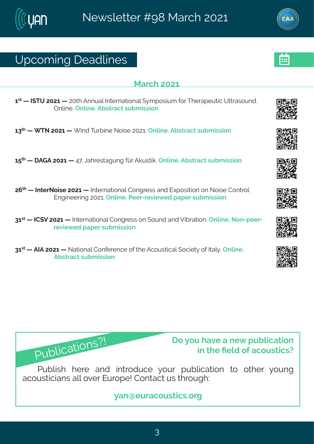## Yt gsq mk# i ehpni w

#### Reval #576

6 44 #NIXY#7576# #75x1 #Frryep#Nxivrexmsrep# }qtswmyq#;sv#Xlivetiyxmg#Ypxewsyrh3# Trpni 3 Trpni 3 Ff wweqx#wyfq mwnsr

68<sup>xl</sup> # XS#7576 # mnh4Xyvf mi#Ssmwi#757634Trpmi3Ffwxvegx#wyfqmwwnsn

6: \* # # FLF#7576# #9< 30el viwwekyrk# ãv#Foywxmo 34Trpni 3Ff www.egx#wyfq mww.nsr

7; \* # #NixivSsmwi#7576# #Nixivrexmsrep#Hsrkviww#erh#Jltswmxmsr#sr#Ssmwi#Hsrxvsp# Jrkmii wmk#757634 rpmi 3Ui i v2vi zm { i h# et i v#wyf q mwnsar

86 \*\* #HH(Z#7576# #Naxivrexmsrep#Hsrkviww#sr#(syrh#erh#Zmhvexmsr3#Trpmi3#Ssr2tiiv2 vizm{ i h# et i v#w f q mwnsn

86 \*\* # FNF#7576# #Sexmsrep#Hsrjivirgi#sj#vli#Fgsywxngep#sgninx}#sj#Nep} 3#Trpni3# Ff wweax#w f a mwnsr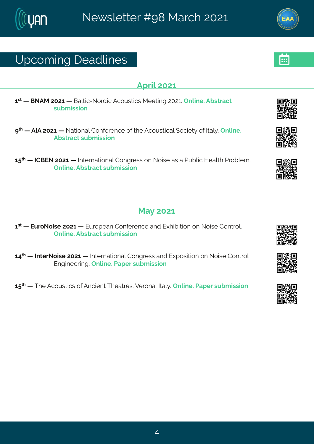## Ytgsq mk# i ehpni w

#### **Ft vm#576**

6 \*\* # # £ SFR # 576 # # £ epxg 2 Ss vh rg # F g sy w x g w R i i x m k # 7576 \$ T r pn i 3 F f w x e g x # w f a mwnsn

> # #FNF#7576# #Sexmsrep#Hsrjivirgi#sj#vli#Fgsywxngep#sgmix}#sj#Nep} 3#Trpmi3# Ff wwegx#wyf q mwnsr

6: \* # #HHGJS#7576# #Nixi vrexmsrep#Hsrkvi www.br#Ssmwi#ew#e#Llyfpng#Miep d#Llusfpiq 3# Trpni 3Ff wwegx#wyf q mwnsr

#### $Re\}$ #576

6 % # #JyvsSsmwi#7576# #Jyvstier#Hsrjivirgi#erh#Jlmhnomsr#sr#Ssmwi#Hsrxvsp3# Trpni 3Ff wwegx#wfg mwnsr

69<sup>x</sup> # #NixivSsmwi#7576# #Nixivrexmsrep#Hsrkviww#erh#Jltswmxmsr#sr#Ssmwi#Hsrxvsp# Jrkmiiwnk 34 rpni 34 Jet i v#w fa mwnar

6:  $\frac{d}{dx}$  #  $\frac{d}{dx}$  i #Fgsyw mgw #si#Frgmin x $\frac{d}{dx}$  i exviw  $\frac{d}{dx}$  i vsre #Nep}  $\frac{d}{dx}$  rpm i  $\frac{d}{dx}$  let i v#w f q mw msn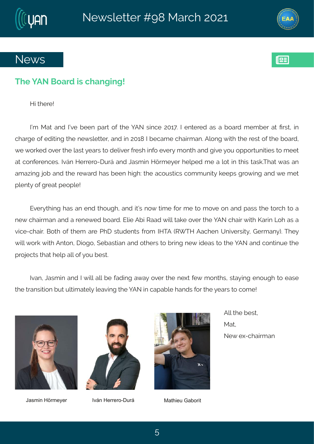



### **News**



### **The YAN Board is changing!**

Hi there!

I'm Mat and I've been part of the YAN since 2017. I entered as a board member at first, in charge of editing the newsletter, and in 2018 I became chairman. Along with the rest of the board, we worked over the last years to deliver fresh info every month and give you opportunities to meet at conferences. Iván Herrero-Durá and Jasmin Hörmeyer helped me a lot in this task.That was an amazing job and the reward has been high: the acoustics community keeps growing and we met plenty of great people!

Everything has an end though, and it's now time for me to move on and pass the torch to a new chairman and a renewed board. Elie Abi Raad will take over the YAN chair with Karin Loh as a vice-chair. Both of them are PhD students from IHTA (RWTH Aachen University, Germany). They will work with Anton, Diogo, Sebastian and others to bring new ideas to the YAN and continue the projects that help all of you best.

Ivan, Jasmin and I will all be fading away over the next few months, staying enough to ease the transition but ultimately leaving the YAN in capable hands for the years to come!





Jasmin Hörmeyer Iván Herrero-Durá Mathieu Gaborit



All the best, Mat, New ex-chairman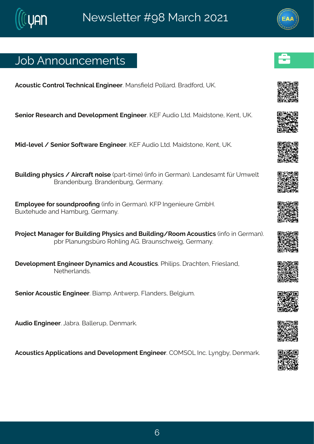## Osf#Frrsyrgiqirxw

Fasyword#Hsrxvsp\$XigIrmgep#Jrkmiiv3#RerwPiph#Uspoevh3#Gvehjsvh1#YP3

(irmsv#Wiwievgl#erh#lizipstqirx#Jrkmiiv3#PJK#Fyhnsn#Qvh3Remhwvsri1#Pirx1#YP3

R ml 2pi zip#l# irmsv#sjx{ evi#lrkmiiv3PJK#Fyhms#Qvh3R emhwwsri14Pirx1#YP3

Gymdnmk#l}wngw#1#Fmgyejx#smwi#tew2xmoji.#mnjs#m#Livqer.3#Qerhiweqx#āv#Yq{ipx# Gverhirfyvk 36 verhirfyvk #Livq er} 3#

Jqtps}ii#sv#wsyrhtvssPrk#mnjs#mn#Livqer.3#PKU#ntkirmiyvi#LqfM3 Gyl xil y hi#erh#Meg fyvk #Livger} 3#

Uvsnigx#Rerekiv#sv#Gymphmk#Ul}wngw#erh#Gymphmk4Wssq#Fgsywxngw#mnjs#mn#Livqer.3# tf w#Uperyrk wfãvs#WsIpmk#FL3#Gveyrwgl{inka1#Livqer}3

lizipstqirx#Jrkmiiv#}reqmgw#erh#Fgsywxmgw&tUlmpntw&#veglxir#Kwmwperh# Sixliverhw<sub>8</sub>

(irmsv#Fgsywxmg#Jrkmiiv3#Gmeqt3#Frx{ivt1#Kperhiww1#Gipkmyq3

Fyhns# rkmiiv3nQefve36Geppivyt#tirqevo3

Fgsywomgw#Fttpmgexmsrw#erh#lizipstqirx#Jrkmiiv3#HTR(TQ#nlg3AQrkf}1#lirqevo3#